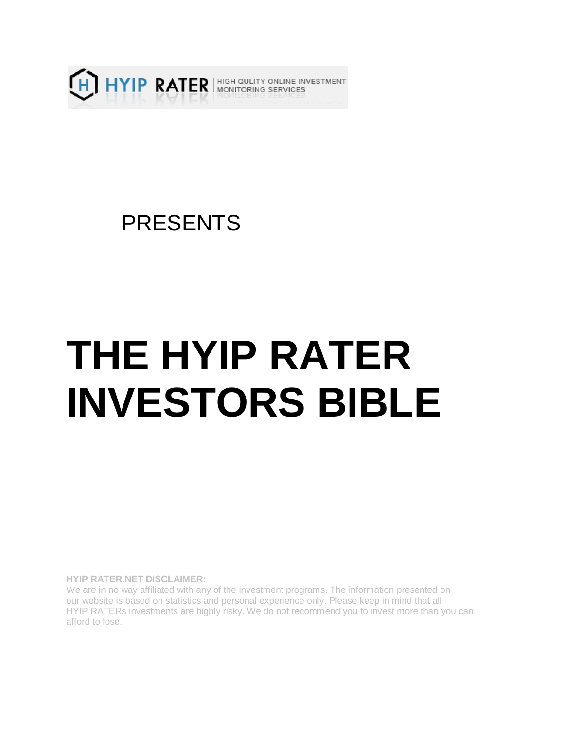

## PRESENTS

# **THE HYIP RATER INVESTORS BIBLE**

**HYIP RATER.NET DISCLAIMER:**

We are in no way affiliated with any of the investment programs. The information presented on our website is based on statistics and personal experience only. Please keep in mind that all HYIP RATERs investments are highly risky. We do not recommend you to invest more than you can afford to lose.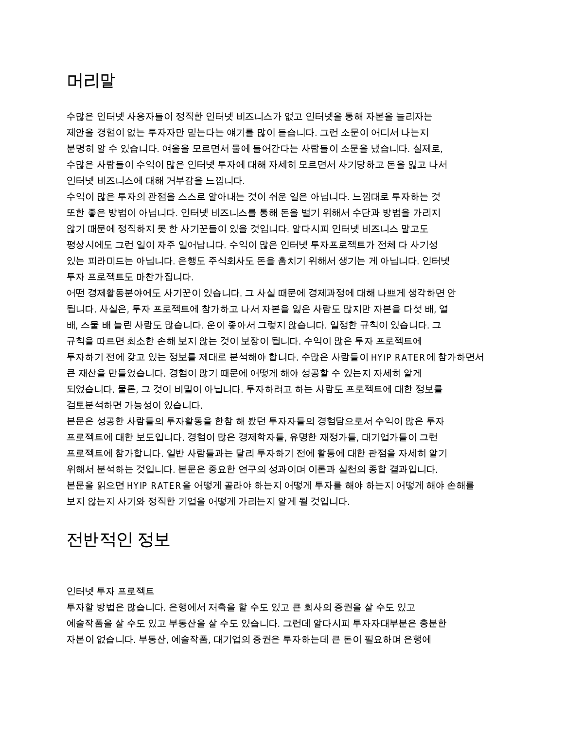## 머리말

수많은 인터넷 사용자들이 정직한 인터넷 비즈니스가 없고 인터넷을 통해 자본을 늘리자는 제안을 경험이 없는 투자자만 믿는다는 얘기를 많이 듣습니다. 그런 소문이 어디서 나는지 분명히 알 수 있습니다. 여울을 모르면서 물에 들어간다는 사람들이 소문을 냈습니다. 실제로. 수많은 사람들이 수익이 많은 인터넷 투자에 대해 자세히 모르면서 사기당하고 돈을 잃고 나서 인터넷 비즈니스에 대해 거부감을 느낍니다.

수익이 많은 투자의 관점을 스스로 알아내는 것이 쉬운 일은 아닙니다. 느낌대로 투자하는 것 또한 좋은 방법이 아닙니다. 인터넷 비즈니스를 통해 돈을 벌기 위해서 수단과 방법을 가리지 않기 때문에 정직하지 못 한 사기꾼들이 있을 것입니다. 알다시피 인터넷 비즈니스 말고도 평상시에도 그런 일이 자주 일어납니다. 수익이 많은 인터넷 투자프로젝트가 전체 다 사기성 있는 피라미드는 아닙니다. 은행도 주식회사도 돈을 훔치기 위해서 생기는 게 아닙니다. 인터넷 투자 프로젝트도 마찬가집니다.

어떤 경제활동분야에도 사기꾼이 있습니다. 그 사실 때문에 경제과정에 대해 나쁘게 생각하면 안 됩니다. 사실은, 투자 프로젝트에 참가하고 나서 자본을 잃은 사람도 많지만 자본을 다섯 배, 열 배, 스물 배 늘린 사람도 많습니다. 운이 좋아서 그렇지 않습니다. 일정한 규칙이 있습니다. 그 규칙을 따르면 최소한 손해 보지 않는 것이 보장이 됩니다. 수익이 많은 투자 프로젝트에 투자하기 전에 갖고 있는 정보를 제대로 분석해야 합니다. 수많은 사람들이 HYIP RATER에 참가하면서 큰 재산을 만들었습니다. 경험이 많기 때문에 어떻게 해야 성공할 수 있는지 자세히 알게 되었습니다. 물론, 그 것이 비밀이 아닙니다. 투자하려고 하는 사람도 프로젝트에 대한 정보를 검토분석하면 가능성이 있습니다.

본문은 성공한 사람들의 투자활동을 한참 해 봤던 투자자들의 경험담으로서 수익이 많은 투자 프로젝트에 대한 보도입니다. 경험이 많은 경제학자들, 유명한 재정가들, 대기업가들이 그런 프로젝트에 참가합니다. 일반 사람들과는 달리 투자하기 전에 활동에 대한 관점을 자세히 알기 위해서 분석하는 것입니다. 본문은 중요한 연구의 성과이며 이론과 실천의 종합 결과입니다. 본문을 읽으면 HYIP RATER을 어떻게 골라야 하는지 어떻게 투자를 해야 하는지 어떻게 해야 손해를 보지 않는지 사기와 정직한 기업을 어떻게 가리는지 알게 될 것입니다.

## 전반적인 정보

인터넷 투자 프로젝트

투자할 방법은 많습니다. 은행에서 저축을 할 수도 있고 큰 회사의 증권을 살 수도 있고 예술작품을 살 수도 있고 부동산을 살 수도 있습니다. 그런데 알다시피 투자자대부분은 충분한 자본이 없습니다. 부동산, 예술작품, 대기업의 증권은 투자하는데 큰 돈이 필요하며 은행에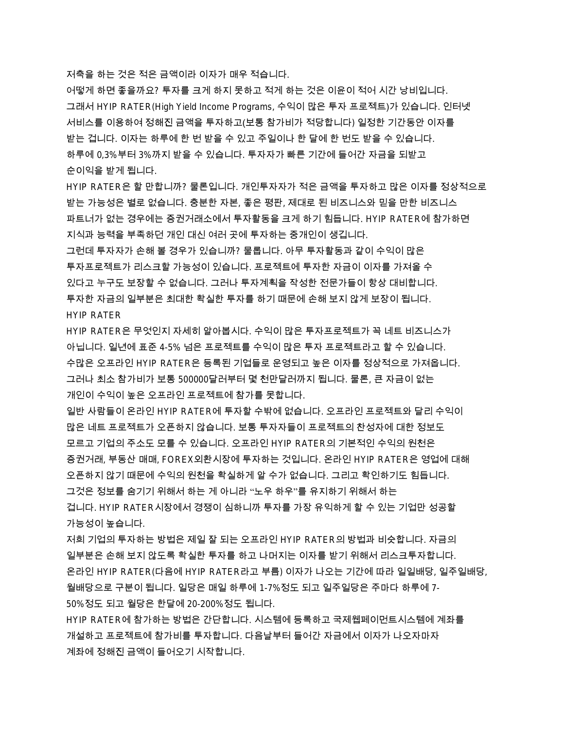저축을 하는 것은 적은 금액이라 이자가 매우 적습니다.

어떻게 하면 좋을까요? 투자를 크게 하지 못하고 적게 하는 것은 이윤이 적어 시간 낭비입니다. 그래서 HYIP RATER(High Yield Income Programs, 수익이 많은 투자 프로젝트)가 있습니다. 인터넷 서비스를 이용하여 정해진 금액을 투자하고(보통 참가비가 적당합니다) 일정한 기간동안 이자를 받는 겁니다. 이자는 하루에 한 번 받을 수 있고 주일이나 한 달에 한 번도 받을 수 있습니다. 하루에 0,3%부터 3%까지 받을 수 있습니다. 투자자가 빠른 기간에 들어간 자금을 되받고 순이익을 받게 됩니다.

HYIP RATER은 할 만합니까? 물론입니다. 개인투자자가 적은 금액을 투자하고 많은 이자를 정상적으로 받는 가능성은 별로 없습니다. 충분한 자본, 좋은 평판, 제대로 된 비즈니스와 믿을 만한 비즈니스 파트너가 없는 경우에는 증권거래소에서 투자활동을 크게 하기 힘듭니다. HYIP RATER에 참가하면 지식과 능력을 부족하던 개인 대신 여러 곳에 투자하는 중개인이 생깁니다.

그런데 투자자가 손해 볼 경우가 있습니까? 물롭니다. 아무 투자활동과 같이 수익이 많은 투자프로젝트가 리스크할 가능성이 있습니다. 프로젝트에 투자한 자금이 이자를 가져올 수 있다고 누구도 보장할 수 없습니다. 그러나 투자계획을 작성한 전문가들이 항상 대비합니다. 투자한 자금의 일부분은 최대한 확실한 투자를 하기 때문에 손해 보지 않게 보장이 됩니다. HYIP RATER

HYIP RATER은 무엇인지 자세히 알아봅시다. 수익이 많은 투자프로젝트가 꼭 네트 비즈니스가 아닙니다. 일년에 표준 4-5% 넘은 프로젝트를 수익이 많은 투자 프로젝트라고 할 수 있습니다. 수많은 오프라인 HYIP RATER은 등록된 기업들로 운영되고 높은 이자를 정상적으로 가져옵니다. 그러나 최소 참가비가 보통 500000달러부터 몇 천만달러까지 됩니다. 물론, 큰 자금이 없는 개인이 수익이 높은 오프라인 프로젝트에 참가를 못합니다.

일반 사람들이 온라인 HYIP RATER에 투자할 수밖에 없습니다. 오프라인 프로젝트와 달리 수익이 많은 네트 프로젝트가 오픈하지 않습니다. 보통 투자자들이 프로젝트의 찬성자에 대한 정보도 모르고 기업의 주소도 모를 수 있습니다. 오프라인 HYIP RATER의 기본적인 수익의 원천은 증권거래, 부동산 매매, FOREX외환시장에 투자하는 것입니다. 온라인 HYIP RATER은 영업에 대해 오픈하지 않기 때문에 수익의 원천을 확실하게 알 수가 없습니다. 그리고 확인하기도 힘듭니다. 그것은 정보를 숨기기 위해서 하는 게 아니라 "노우 하우"를 유지하기 위해서 하는 겁니다. HYIP RATER시장에서 경쟁이 심하니까 투자를 가장 유익하게 할 수 있는 기업만 성공할 가능성이 높습니다.

저희 기업의 투자하는 방법은 제일 잘 되는 오프라인 HYIP RATER의 방법과 비슷합니다. 자금의 일부분은 손해 보지 않도록 확실한 투자를 하고 나머지는 이자를 받기 위해서 리스크투자합니다. 온라인 HYIP RATER(다음에 HYIP RATER라고 부름) 이자가 나오는 기간에 따라 일일배당, 일주일배당, 월배당으로 구분이 됩니다. 일당은 매일 하루에 1-7%정도 되고 일주일당은 주마다 하루에 7-50%정도 되고 월당은 한달에 20-200%정도 됩니다.

HYIP RATER에 참가하는 방법은 간단합니다. 시스템에 등록하고 국제웹페이먼트시스템에 계좌를 개설하고 프로젝트에 참가비를 투자합니다. 다음날부터 들어간 자금에서 이자가 나오자마자 계좌에 정해진 금액이 들어오기 시작합니다.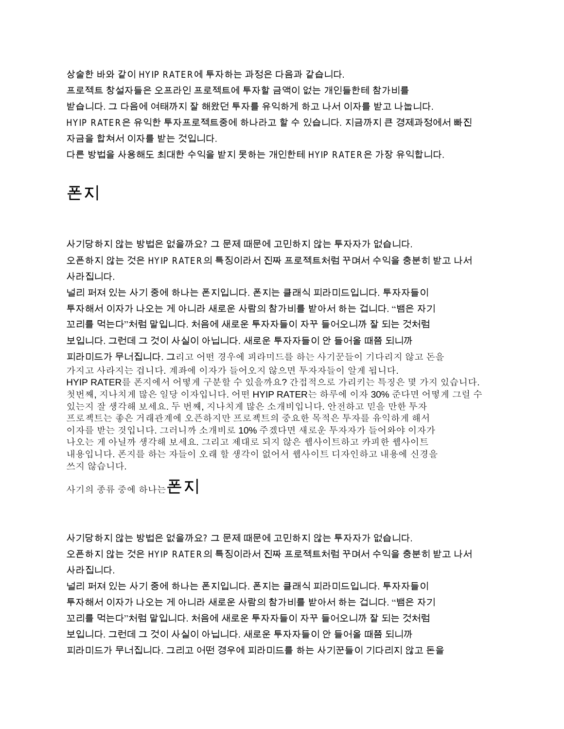상술한 바와 같이 HYIP RATER에 투자하는 과정은 다음과 같습니다. 프로젝트 창설자들은 오프라인 프로젝트에 투자할 금액이 없는 개인들한테 참가비를 받습니다. 그 다음에 여태까지 잘 해왔던 투자를 유익하게 하고 나서 이자를 받고 나눕니다. HYIP RATER은 유익한 투자프로젝트중에 하나라고 할 수 있습니다. 지금까지 큰 경제과정에서 빠진 자금을 합쳐서 이자를 받는 것입니다.

다른 방법을 사용해도 최대한 수익을 받지 못하는 개인한테 HYIP RATER은 가장 유익합니다.

## 폰지

사기당하지 않는 방법은 없을까요? 그 문제 때문에 고민하지 않는 투자자가 없습니다. 오픈하지 않는 것은 HYIP RATER의 특징이라서 진짜 프로젝트처럼 꾸며서 수익을 충분히 받고 나서 사라집니다.

널리 퍼져 있는 사기 중에 하나는 폰지입니다. 폰지는 클래식 피라미드입니다. 투자자들이 투자해서 이자가 나오는 게 아니라 새로운 사람의 참가비를 받아서 하는 겁니다. "뱀은 자기 꼬리를 먹는다"처럼 말입니다. 처음에 새로운 투자자들이 자꾸 들어오니까 잘 되는 것처럼 보입니다. 그런데 그 것이 사실이 아닙니다. 새로운 투자자들이 안 들어올 때쯤 되니까 피라미드가 무너집니다. 그리고 어떤 경우에 피라미드를 하는 사기꾼들이 기다리지 않고 돈을 가지고 사라지는 겁니다. 계좌에 이자가 들어오지 않으면 투자자들이 알게 됩니다. HYIP RATER를 폰지에서 어떻게 구분할 수 있을까요? 간접적으로 가리키는 특징은 몇 가지 있습니다. 첫번째, 지나치게 많은 일당 이자입니다. 어떤 HYIP RATER는 하루에 이자 30% 준다면 어떻게 그럴 수 있는지 잘 생각해 보세요. 두 번째, 지나치게 많은 소개비입니다. 안전하고 믿을 만한 투자 프로젝트는 좋은 거래관계에 오픈하지만 프로젝트의 중요한 목적은 투자를 유익하게 해서 이자를 받는 것입니다. 그러니까 소개비로 10% 주겠다면 새로운 투자자가 들어와야 이자가 나오는 게 아닐까 생각해 보세요. 그리고 제대로 되지 않은 웹사이트하고 카피한 웹사이트 내용입니다. 폰지를 하는 자들이 오래 할 생각이 없어서 웹사이트 디자인하고 내용에 신경을 쓰지 않습니다.

사기의 종류 중에 하나는 **폰 지** 

사기당하지 않는 방법은 없을까요? 그 문제 때문에 고민하지 않는 투자자가 없습니다. 오픈하지 않는 것은 HYIP RATER의 특징이라서 진짜 프로젝트처럼 꾸며서 수익을 충분히 받고 나서 사라집니다.

널리 퍼져 있는 사기 중에 하나는 폰지입니다. 폰지는 클래식 피라미드입니다. 투자자들이 투자해서 이자가 나오는 게 아니라 새로운 사람의 참가비를 받아서 하는 겁니다. "뱀은 자기 꼬리를 먹는다"처럼 말입니다. 처음에 새로운 투자자들이 자꾸 들어오니까 잘 되는 것처럼 보입니다. 그런데 그 것이 사실이 아닙니다. 새로운 투자자들이 안 들어올 때쯤 되니까 피라미드가 무너집니다. 그리고 어떤 경우에 피라미드를 하는 사기꾼들이 기다리지 않고 돈을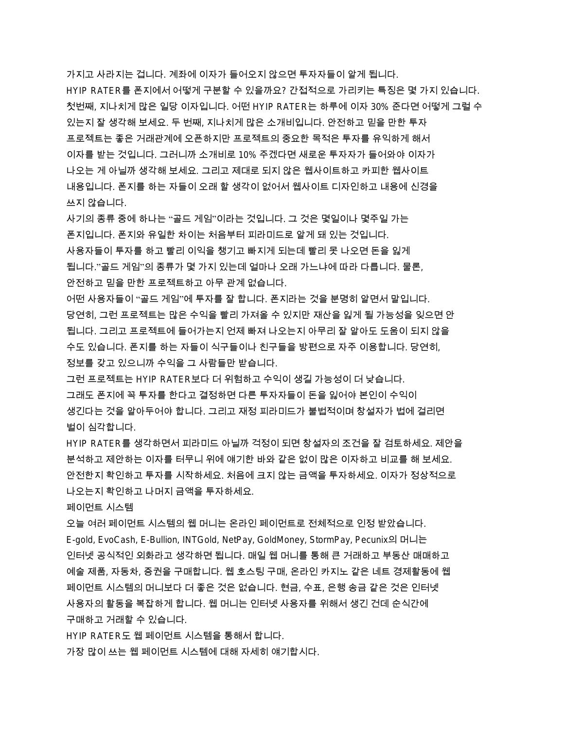가지고 사라지는 겁니다. 계좌에 이자가 들어오지 않으면 투자자들이 알게 됩니다. HYIP RATER를 폰지에서 어떻게 구분할 수 있을까요? 간접적으로 가리키는 특징은 몇 가지 있습니다. 첫번째, 지나치게 많은 일당 이자입니다. 어떤 HYIP RATER는 하루에 이자 30% 준다면 어떻게 그럴 수 있는지 잘 생각해 보세요. 두 번째, 지나치게 많은 소개비입니다. 안전하고 믿을 만한 투자 프로젝트는 좋은 거래관계에 오픈하지만 프로젝트의 중요한 목적은 투자를 유익하게 해서 이자를 받는 것입니다. 그러니까 소개비로 10% 주겠다면 새로운 투자자가 들어와야 이자가 나오는 게 아닐까 생각해 보세요. 그리고 제대로 되지 않은 웹사이트하고 카피한 웹사이트 내용입니다. 폰지를 하는 자들이 오래 할 생각이 없어서 웹사이트 디자인하고 내용에 신경을 쓰지 않습니다.

사기의 종류 중에 하나는 "골드 게임"이라는 것입니다. 그 것은 몇일이나 몇주일 가는 폰지입니다. 폰지와 유일한 차이는 처음부터 피라미드로 알게 돼 있는 것입니다. 사용자들이 투자를 하고 빨리 이익을 챙기고 빠지게 되는데 빨리 못 나오면 돈을 잃게 됩니다.''골드 게임''의 종류가 몇 가지 있는데 얼마나 오래 가느냐에 따라 다릅니다. 물론, 안전하고 믿을 만한 프로젝트하고 아무 관계 없습니다.

어떤 사용자들이 "골드 게임"에 투자를 잘 합니다. 폰지라는 것을 분명히 알면서 말입니다. 당연히, 그런 프로젝트는 많은 수익을 빨리 가져올 수 있지만 재산을 잃게 될 가능성을 잊으면 안 됩니다. 그리고 프로젝트에 들어가는지 언제 빠져 나오는지 아무리 잘 알아도 도움이 되지 않을 수도 있습니다. 폰지를 하는 자들이 식구들이나 친구들을 방편으로 자주 이용합니다. 당연히. 정보를 갖고 있으니까 수익을 그 사람들만 받습니다.

그런 프로젝트는 HYIP RATER보다 더 위험하고 수익이 생길 가능성이 더 낮습니다. 그래도 폰지에 꼭 투자를 한다고 결정하면 다른 투자자들이 돈을 잃어야 본인이 수익이 생긴다는 것을 알아두어야 합니다. 그리고 재정 피라미드가 불법적이며 창설자가 법에 걸리면 벌이 심각합니다.

HYIP RATER를 생각하면서 피라미드 아닐까 걱정이 되면 창설자의 조건을 잘 검토하세요. 제안을 분석하고 제안하는 이자를 터무니 위에 얘기한 바와 같은 없이 많은 이자하고 비교를 해 보세요. 안전한지 확인하고 투자를 시작하세요. 처음에 크지 않는 금액을 투자하세요. 이자가 정상적으로 나오는지 확인하고 나머지 금액을 투자하세요.

페이먼트 시스템

오늘 여러 페이먼트 시스템의 웹 머니는 온라인 페이먼트로 전체적으로 인정 받았습니다. E-gold, EvoCash, E-Bullion, INTGold, NetPay, GoldMoney, StormPay, Pecunix의 머니는 인터넷 공식적인 외화라고 생각하면 됩니다. 매일 웹 머니를 통해 큰 거래하고 부동산 매매하고 예술 제품, 자동차, 증권을 구매합니다. 웹 호스팅 구매, 온라인 카지노 같은 네트 경제활동에 웹 페이먼트 시스템의 머니보다 더 좋은 것은 없습니다. 현금, 수표, 은행 송금 같은 것은 인터넷 사용자의 활동을 복잡하게 합니다. 웹 머니는 인터넷 사용자를 위해서 생긴 건데 순식간에 구매하고 거래할 수 있습니다.

HYIP RATER도 웹 페이먼트 시스템을 통해서 합니다.

가장 많이 쓰는 웹 페이먼트 시스템에 대해 자세히 얘기합시다.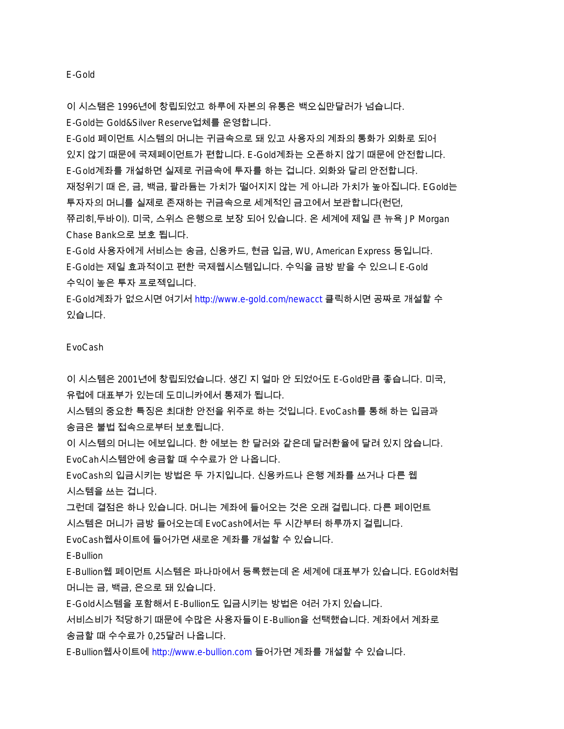E-Gold

이 시스탬은 1996년에 창립되었고 하루에 자본의 유통은 백오십만달러가 넘습니다.

E-Gold는 Gold&Silver Reserve업체를 운영합니다.

E-Gold 페이먼트 시스템의 머니는 귀금속으로 돼 있고 사용자의 계좌의 통화가 외화로 되어 있지 않기 때문에 국제페이먼트가 편합니다. E-Gold계좌는 오픈하지 않기 때문에 안전합니다. E-Gold계좌를 개설하면 실제로 귀금속에 투자를 하는 겁니다. 외화와 달리 안전합니다. 재정위기 때 은, 금, 백금, 팔라듐는 가치가 떨어지지 않는 게 아니라 가치가 높아집니다. EGold는 투자자의 머니를 실제로 존재하는 귀금속으로 세계적인 금고에서 보관합니다(런던, 쮸리히,두바이). 미국, 스위스 은행으로 보장 되어 있습니다. 온 세계에 제일 큰 뉴욕 JP Morgan Chase Bank으로 보호 됩니다.

E-Gold 사용자에게 서비스는 송금, 신용카드, 현금 입금, WU, American Express 등입니다. E-Gold는 제일 효과적이고 편한 국제웹시스템입니다. 수익을 금방 받을 수 있으니 E-Gold 수익이 높은 투자 프로젝입니다.

E-Gold계좌가 없으시면 여기서 <http://www.e-gold.com/newacct> 클릭하시면 공짜로 개설할 수 있습니다.

#### EvoCash

이 시스템은 2001년에 창립되었습니다. 생긴 지 얼마 안 되었어도 E-Gold만큼 좋습니다. 미국. 유럽에 대표부가 있는데 도미니카에서 통제가 됩니다.

시스템의 중요한 특징은 최대한 안전을 위주로 하는 것입니다. EvoCash를 통해 하는 입금과 송금은 불법 접속으로부터 보호됩니다.

이 시스템의 머니는 에보입니다. 한 에보는 한 달러와 같은데 달러환율에 달려 있지 않습니다. EvoCah시스템안에 송금할 때 수수료가 안 나옵니다.

EvoCash의 입금시키는 방법은 두 가지입니다. 신용카드나 은행 계좌를 쓰거나 다른 웹 시스템을 쓰는 겁니다.

그런데 결점은 하나 있습니다. 머니는 계좌에 들어오는 것은 오래 걸립니다. 다른 페이먼트 시스템은 머니가 금방 들어오는데 EvoCash에서는 두 시간부터 하루까지 걸립니다.

EvoCash웹사이트에 들어가면 새로운 계좌를 개설할 수 있습니다.

#### E-Bullion

E-Bullion웹 페이먼트 시스템은 파나마에서 등록했는데 온 세계에 대표부가 있습니다. EGold처럼 머니는 금, 백금, 은으로 돼 있습니다.

E-Gold시스템을 포함해서 E-Bullion도 입금시키는 방법은 여러 가지 있습니다.

서비스비가 적당하기 때문에 수많은 사용자들이 E-Bullion을 선택했습니다. 계좌에서 계좌로 송금할 때 수수료가 0,25달러 나옵니다.

E-Bullion웹사이트에 <http://www.e-bullion.com> 들어가면 계좌를 개설할 수 있습니다.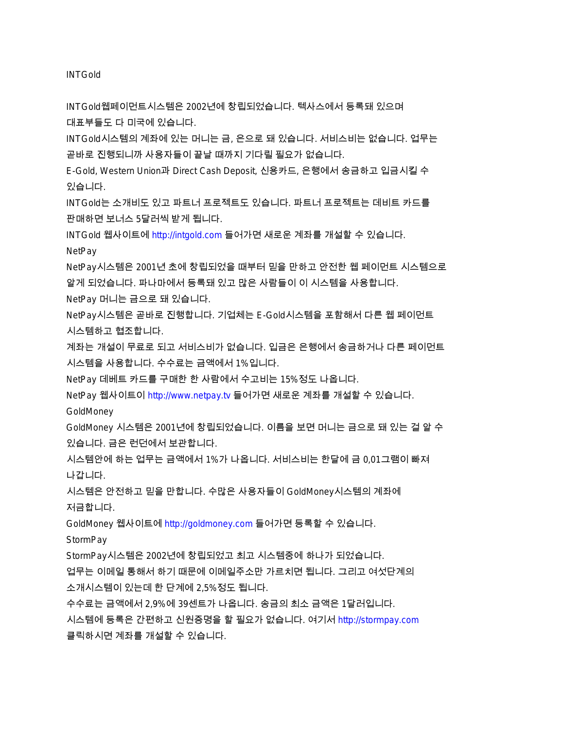INTGold

INTGold웹페이먼트시스템은 2002년에 창립되었습니다. 텍사스에서 등록돼 있으며 대표부들도 다 미국에 있습니다.

INTGold시스템의 계좌에 있는 머니는 금, 은으로 돼 있습니다. 서비스비는 없습니다. 업무는 곧바로 진행되니까 사용자들이 끝날 때까지 기다릴 필요가 없습니다.

E-Gold, Western Union과 Direct Cash Deposit, 신용카드, 은행에서 송금하고 입금시킬 수 있습니다.

INTGold는 소개비도 있고 파트너 프로젝트도 있습니다. 파트너 프로젝트는 데비트 카드를 판매하면 보너스 5달러씩 받게 됩니다.

INTGold 웹사이트에 <http://intgold.com> 들어가면 새로운 계좌를 개설할 수 있습니다.

**NetPay** 

NetPay시스템은 2001년 초에 창립되었을 때부터 믿을 만하고 안전한 웹 페이먼트 시스템으로 알게 되었습니다. 파나마에서 등록돼 있고 많은 사람들이 이 시스템을 사용합니다.

NetPay 머니는 금으로 돼 있습니다.

NetPay시스템은 곧바로 진행합니다. 기업체는 E-Gold시스템을 포함해서 다른 웹 페이먼트 시스템하고 협조합니다.

계좌는 개설이 무료로 되고 서비스비가 없습니다. 입금은 은행에서 송금하거나 다른 페이먼트 시스템을 사용합니다. 수수료는 금액에서 1%입니다.

NetPay 데베트 카드를 구매한 한 사람에서 수고비는 15%정도 나옵니다.

NetPay 웹사이트이 <http://www.netpay.tv> 들어가면 새로운 계좌를 개설할 수 있습니다.

GoldMoney

GoldMoney 시스템은 2001년에 창립되었습니다. 이름을 보면 머니는 금으로 돼 있는 걸 알 수 있습니다. 금은 런던에서 보관합니다.

시스템안에 하는 업무는 금액에서 1%가 나옵니다. 서비스비는 한달에 금 0.01그램이 빠져 나갑니다.

시스템은 안전하고 믿을 만합니다. 수많은 사용자들이 GoldMoney시스템의 계좌에 저금합니다.

GoldMoney 웹사이트에 <http://goldmoney.com> 들어가면 등록할 수 있습니다.

**StormPay** 

StormPay시스템은 2002년에 창립되었고 최고 시스템중에 하나가 되었습니다.

업무는 이메일 통해서 하기 때문에 이메일주소만 가르치면 됩니다. 그리고 여섯단계의 소개시스템이 있는데 한 단계에 2,5%정도 됩니다.

수수료는 금액에서 2,9%에 39센트가 나옵니다. 송금의 최소 금액은 1달러입니다.

시스템에 등록은 간편하고 신원증명을 할 필요가 없습니다. 여기서 <http://stormpay.com> 클릭하시면 계좌를 개설할 수 있습니다.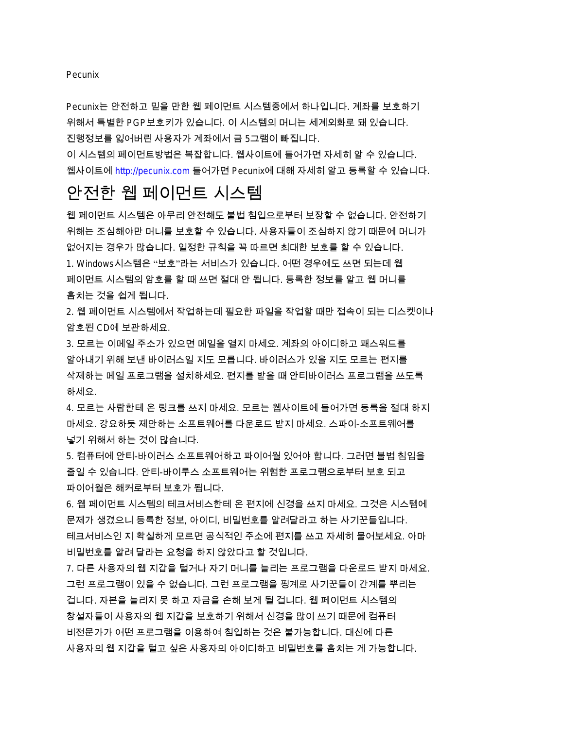#### **Pecunix**

Pecunix는 안전하고 믿을 만한 웹 페이먼트 시스템중에서 하나입니다. 계좌를 보호하기 위해서 특별한 PGP보호키가 있습니다. 이 시스템의 머니는 세계외화로 돼 있습니다. 진행정보를 잃어버린 사용자가 계좌에서 금 5그램이 빠진니다.

이 시스템의 페이먼트방법은 복잡합니다. 웹사이트에 들어가면 자세히 알 수 있습니다. 웹사이트에 <http://pecunix.com> 들어가면 Pecunix에 대해 자세히 알고 등록할 수 있습니다.

## 안전한 웹 페이먼트 시스템

웹 페이먼트 시스템은 아무리 안전해도 불법 침입으로부터 보장할 수 없습니다. 안전하기 위해는 조심해야만 머니를 보호할 수 있습니다. 사용자들이 조심하지 않기 때문에 머니가 없어지는 경우가 많습니다. 일정한 규칙을 꼭 따르면 최대한 보호를 할 수 있습니다. 1. Windows시스템은 "보호"라는 서비스가 있습니다. 어떤 경우에도 쓰면 되는데 웹 페이먼트 시스템의 암호를 할 때 쓰면 절대 안 됩니다. 등록한 정보를 알고 웹 머니를 훔치는 것을 쉽게 됩니다.

2. 웹 페이먼트 시스템에서 작업하는데 필요한 파일을 작업할 때만 접속이 되는 디스켓이나 암호된 CD에 보관하세요.

3. 모르는 이메일 주소가 있으면 메일을 열지 마세요. 계좌의 아이디하고 패스워드를 알아내기 위해 보낸 바이러스일 지도 모릅니다. 바이러스가 있을 지도 모르는 편지를 삭제하는 메일 프로그램을 설치하세요. 편지를 받을 때 안티바이러스 프로그램을 쓰도록 하세요.

4. 모르는 사람한테 온 링크를 쓰지 마세요. 모르는 웹사이트에 들어가면 등록을 절대 하지 마세요. 강요하듯 제안하는 소프트웨어를 다운로드 받지 마세요. 스파이-소프트웨어를 넣기 위해서 하는 것이 많습니다.

5. 컴퓨터에 안티-바이러스 소프트웨어하고 파이어월 있어야 합니다. 그러면 불법 침입을 줄일 수 있습니다. 안티-바이루스 소프트웨어는 위험한 프로그램으로부터 보호 되고 파이어월은 해커로부터 보호가 됩니다.

6. 웹 페이먼트 시스템의 테크서비스한테 온 편지에 신경을 쓰지 마세요. 그것은 시스템에 문제가 생겼으니 등록한 정보, 아이디, 비밀번호를 알려달라고 하는 사기꾼들입니다. 테크서비스인 지 확실하게 모르면 공식적인 주소에 편지를 쓰고 자세히 물어보세요. 아마 비밀번호를 알려 달라는 요청을 하지 않았다고 할 것입니다.

7. 다른 사용자의 웹 지갑을 털거나 자기 머니를 늘리는 프로그램을 다운로드 받지 마세요. 그런 프로그램이 있을 수 없습니다. 그런 프로그램을 핑계로 사기꾼들이 간계를 뿌리는 겁니다. 자본을 늘리지 못 하고 자금을 손해 보게 될 겁니다. 웹 페이먼트 시스템의 창설자들이 사용자의 웹 지갑을 보호하기 위해서 신경을 많이 쓰기 때문에 컴퓨터 비전문가가 어떤 프로그램을 이용하여 침입하는 것은 불가능합니다. 대신에 다른 사용자의 웹 지갑을 털고 싶은 사용자의 아이디하고 비밀번호를 훔치는 게 가능합니다.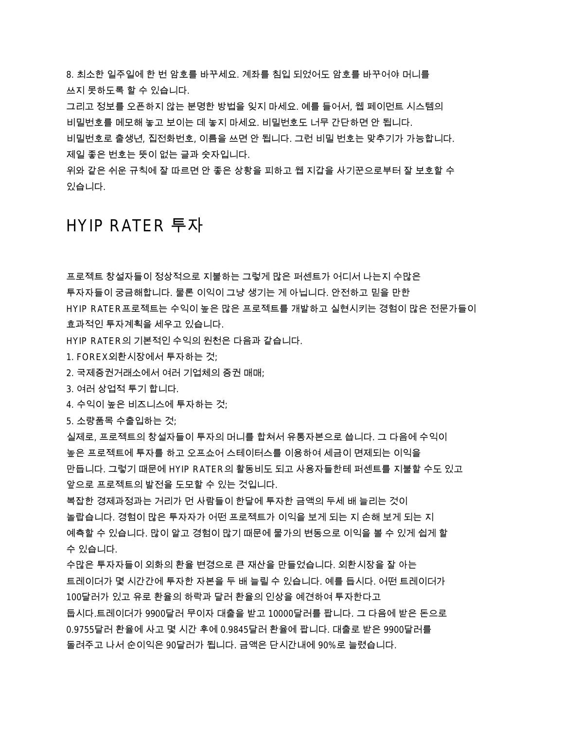8. 최소한 일주일에 한 번 암호를 바꾸세요. 계좌를 침입 되었어도 암호를 바꾸어야 머니를 쓰지 못하도록 할 수 있습니다.

그리고 정보를 오픈하지 않는 분명한 방법을 잊지 마세요. 예를 들어서, 웹 페이먼트 시스템의 비밀번호를 메모해 놓고 보이는 데 놓지 마세요. 비밀번호도 너무 간단하면 안 됩니다.

비밀번호로 출생년, 집전화번호, 이름을 쓰면 안 됩니다. 그런 비밀 번호는 맞추기가 가능합니다. 제일 좋은 번호는 뜻이 없는 글과 숫자입니다.

위와 같은 쉬운 규칙에 잘 따르면 안 좋은 상황을 피하고 웹 지갑을 사기꾼으로부터 잘 보호할 수 있습니다.

## HYIP RATER 투자

프로젝트 창설자들이 정상적으로 지불하는 그렇게 많은 퍼센트가 어디서 나는지 수많은

투자자들이 궁금해합니다. 물론 이익이 그냥 생기는 게 아닙니다. 안전하고 믿을 만한 HYIP RATER프로젝트는 수익이 높은 많은 프로젝트를 개발하고 실현시키는 경험이 많은 전문가들이 효과적인 투자계획을 세우고 있습니다.

HYIP RATER의 기본적인 수익의 원천은 다음과 같습니다.

1. FOREX외환시장에서 투자하는 것;

 $2.$  국제증권거래소에서 여러 기업체의 증권 매매;

3. 여러 상업적 투기 합니다.

4. 수익이 높은 비즈니스에 투자하는 것;

5. 소량품목 수출입하는 것;

실제로, 프로젝트의 창설자들이 투자의 머니를 합쳐서 유통자본으로 씁니다. 그 다음에 수익이 높은 프로젝트에 투자를 하고 오프쇼어 스테이터스를 이용하여 세금이 면제되는 이익을 만듭니다. 그렇기 때문에 HYIP RATER의 활동비도 되고 사용자들한테 퍼센트를 지불할 수도 있고 앞으로 프로젝트의 발전을 도모할 수 있는 것입니다.

복잡한 경제과정과는 거리가 먼 사람들이 한달에 투자한 금액의 두세 배 늘리는 것이 놀랍습니다. 경험이 많은 투자자가 어떤 프로젝트가 이익을 보게 되는 지 손해 보게 되는 지 예측할 수 있습니다. 많이 알고 경험이 많기 때문에 물가의 변동으로 이익을 볼 수 있게 쉽게 할 수 있습니다.

수많은 투자자들이 외화의 환율 변경으로 큰 재산을 만들었습니다. 외환시장을 잘 아는 트레이더가 몇 시간간에 투자한 자본을 두 배 늘릴 수 있습니다. 예를 듭시다. 어떤 트레이더가 100달러가 있고 유로 환율의 하락과 달러 환율의 인상을 예견하여 투자한다고 둡시다.트레이더가 9900달러 무이자 대출을 받고 10000달러를 팝니다. 그 다음에 받은 돈으로 <u>0.9755달러 환율에 사고 몇 시간 후에 0.9845달러 환율에 팝니다. 대출로 받은 9900달러를</u> 돌려주고 나서 순이익은 90달러가 됩니다. 금액은 단시간내에 90%로 늘렸습니다.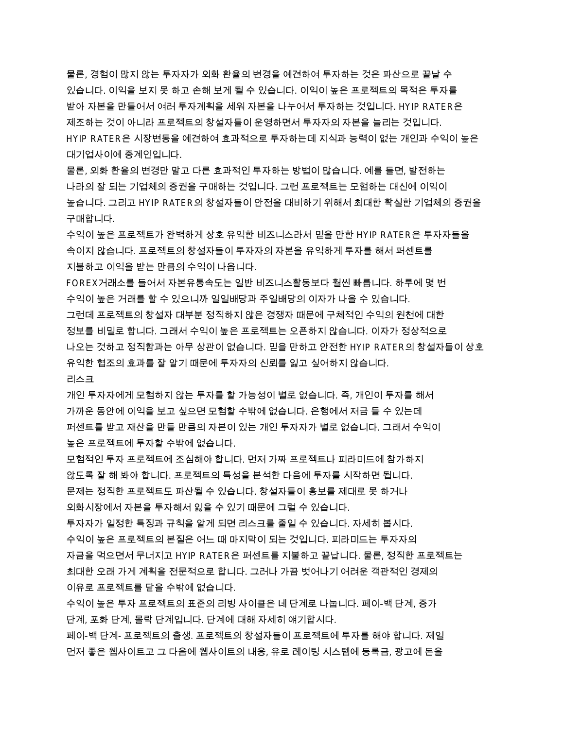물론, 경험이 많지 않는 투자자가 외화 환율의 변경을 예견하여 투자하는 것은 파산으로 끝날 수 있습니다. 이익을 보지 못 하고 손해 보게 될 수 있습니다. 이익이 높은 프로젝트의 목적은 투자를 받아 자본을 만들어서 여러 투자계획을 세워 자본을 나누어서 투자하는 것입니다. HYIP RATER은 제조하는 것이 아니라 프로젝트의 창설자들이 운영하면서 투자자의 자본을 늘리는 것입니다. HYIP RATER은 시장변동을 예견하여 효과적으로 투자하는데 지식과 능력이 없는 개인과 수익이 높은 대기업사이에 중계인입니다.

물론, 외화 환율의 변경만 말고 다른 효과적인 투자하는 방법이 많습니다. 예를 들면, 발전하는 나라의 잘 되는 기업체의 증권을 구매하는 것입니다. 그런 프로젝트는 모험하는 대신에 이익이 높습니다. 그리고 HYIP RATER의 창설자들이 안전을 대비하기 위해서 최대한 확실한 기업체의 증권을 구매합니다.

수익이 높은 프로젝트가 완벽하게 상호 유익한 비즈니스라서 믿을 만한 HYIP RATER은 투자자들을 속이지 않습니다. 프로젝트의 창설자들이 투자자의 자본을 유익하게 투자를 해서 퍼센트를 지불하고 이익을 받는 만큼의 수익이 나옵니다.

FOREX거래소를 들어서 자본유통속도는 일반 비즈니스활동보다 훨씬 빠릅니다. 하루에 몇 번 수익이 높은 거래를 할 수 있으니까 일일배당과 주일배당의 이자가 나올 수 있습니다. 그런데 프로젝트의 창설자 대부분 정직하지 않은 경쟁자 때문에 구체적인 수익의 원천에 대한 정보를 비밀로 합니다. 그래서 수익이 높은 프로젝트는 오픈하지 않습니다. 이자가 정상적으로 나오는 것하고 정직함과는 아무 상관이 없습니다. 믿을 만하고 안전한 HYIP RATER의 창설자들이 상호 유익한 협조의 효과를 잘 알기 때문에 투자자의 신뢰를 잃고 싶어하지 않습니다. 리스크

개인 투자자에게 모험하지 않는 투자를 할 가능성이 별로 없습니다. 즉, 개인이 투자를 해서 가까운 동안에 이익을 보고 싶으면 모험할 수밖에 없습니다. 은행에서 저금 들 수 있는데 퍼센트를 받고 재산을 만들 만큼의 자본이 있는 개인 투자자가 별로 없습니다. 그래서 수익이 높은 프로젝트에 투자할 수밖에 없습니다.

모험적인 투자 프로젝트에 조심해야 합니다. 먼저 가짜 프로젝트나 피라미드에 참가하지 않도록 잘 해 봐야 합니다. 프로젝트의 특성을 분석한 다음에 투자를 시작하면 됩니다. 문제는 정직한 프로젝트도 파산될 수 있습니다. 창설자들이 홍보를 제대로 못 하거나 외화시장에서 자본을 투자해서 잃을 수 있기 때문에 그럴 수 있습니다.

투자자가 일정한 특징과 규칙을 알게 되면 리스크를 줄일 수 있습니다. 자세히 봅시다. 수익이 높은 프로젝트의 본질은 어느 때 마지막이 되는 것입니다. 피라미드는 투자자의 자금을 먹으면서 무너지고 HYIP RATER은 퍼센트를 지불하고 끝납니다. 물론, 정직한 프로젝트는 최대한 오래 가게 계획을 전문적으로 합니다. 그러나 가끔 벗어나기 어려운 객관적인 경제의 이유로 프로젝트를 닫을 수밖에 없습니다.

수익이 높은 투자 프로젝트의 표준의 리빙 사이클은 네 단계로 나눕니다. 페이-백 단계, 증가 단계, 포화 단계, 몰락 단계입니다. 단계에 대해 자세히 얘기합시다.

페이-백 단계- 프로젝트의 출생. 프로젝트의 창설자들이 프로젝트에 투자를 해야 합니다. 제일 먼저 좋은 웹사이트고 그 다음에 웹사이트의 내용, 유로 레이팅 시스템에 등록금, 광고에 돈을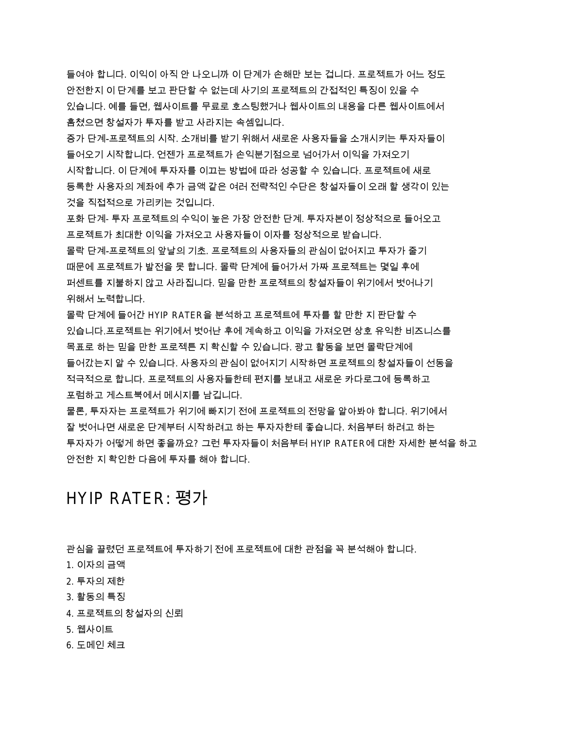들여야 합니다. 이익이 아직 안 나오니까 이 단계가 손해만 보는 겁니다. 프로젝트가 어느 정도 안전한지 이 단계를 보고 판단할 수 없는데 사기의 프로젝트의 간접적인 특징이 있을 수 있습니다. 예를 들면, 웹사이트를 무료로 호스팅했거나 웹사이트의 내용을 다른 웹사이트에서 훔쳤으면 창설자가 투자를 받고 사라지는 속셈입니다.

증가 단계-프로젝트의 시작. 소개비를 받기 위해서 새로운 사용자들을 소개시키는 투자자들이 들어오기 시작합니다. 언젠가 프로젝트가 손익분기점으로 넘어가서 이익을 가져오기 시작합니다. 이 단계에 투자자를 이끄는 방법에 따라 성공할 수 있습니다. 프로젝트에 새로 등록한 사용자의 계좌에 추가 금액 같은 여러 전략적인 수단은 창설자들이 오래 할 생각이 있는 것을 직접적으로 가리키는 것입니다.

포화 단계- 투자 프로젝트의 수익이 높은 가장 안전한 단계, 투자자본이 정상적으로 들어오고 프로젝트가 최대한 이익을 가져오고 사용자들이 이자를 정상적으로 받습니다.

몰락 단계-프로젝트의 앞날의 기초. 프로젝트의 사용자들의 관심이 없어지고 투자가 줄기 때문에 프로젝트가 발전을 못 합니다. 몰락 단계에 들어가서 가짜 프로젝트는 몇일 후에 퍼센트를 지불하지 않고 사라집니다. 믿을 만한 프로젝트의 창설자들이 위기에서 벗어나기 위해서 노력합니다.

몰락 단계에 들어간 HYIP RATER을 분석하고 프로젝트에 투자를 할 만한 지 판단할 수 있습니다.프로젝트는 위기에서 벗어난 후에 계속하고 이익을 가져오면 상호 유익한 비즈니스를 목표로 하는 믿을 만한 프로젝튼 지 확신할 수 있습니다. 광고 활동을 보면 몰락단계에 들어갔는지 알 수 있습니다. 사용자의 관심이 없어지기 시작하면 프로젝트의 창설자들이 선동을 적극적으로 합니다. 프로젝트의 사용자들한테 편지를 보내고 새로운 카다로그에 등록하고 포럼하고 게스트북에서 메시지를 남깁니다.

물론, 투자자는 프로젝트가 위기에 빠지기 전에 프로젝트의 전망을 알아봐야 합니다. 위기에서 잘 벗어나면 새로운 단계부터 시작하려고 하는 투자자한테 좋습니다. 처음부터 하려고 하는 투자자가 어떻게 하면 좋을까요? 그런 투자자들이 처음부터 HYIP RATER에 대한 자세한 분석을 하고 안전한 지 확인한 다음에 투자를 해야 합니다.

### HYIP RATFR: 평가

관심을 끌렸던 프로젝트에 투자하기 전에 프로젝트에 대한 관점을 꼭 분석해야 합니다.

- 1. 이자의 금액
- 2. 투자의 제한
- 3. 활동의 특징
- 4. 프로젝트의 창설자의 신뢰
- 5. 웹사이트
- 6. 도메인 체크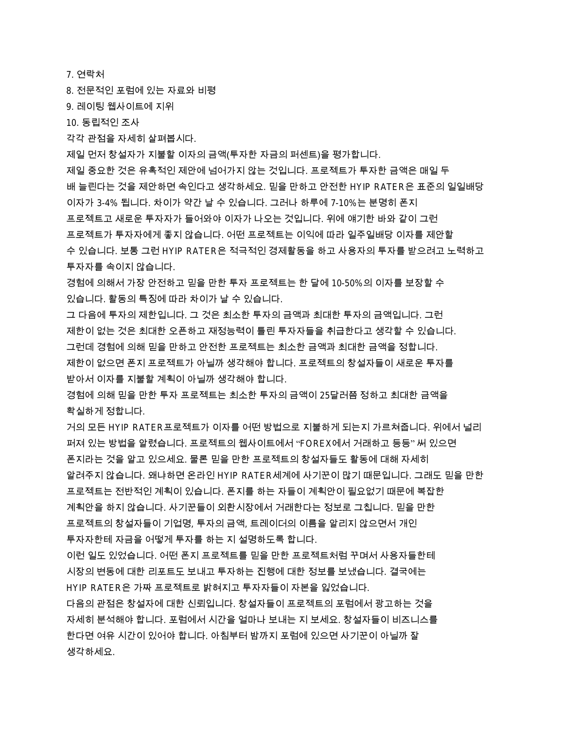7. 연락처

8. 전문적인 포럼에 있는 자료와 비평

9. 레이팅 웹사이트에 지위

10. 동립적인 조사

각각 관점을 자세히 살펴봅시다.

제일 먼저 창설자가 지불할 이자의 금액(투자한 자금의 퍼센트)을 평가합니다.

제일 중요한 것은 유혹적인 제안에 넘어가지 않는 것입니다. 프로젝트가 투자한 금액은 매일 두 배 늘린다는 것을 제안하면 속인다고 생각하세요. 믿을 만하고 안전한 HYIP RATER은 표준의 일일배당 이자가 3-4% 됩니다. 차이가 약간 날 수 있습니다. 그러나 하루에 7-10%는 분명히 폰지 프로젝트고 새로운 투자자가 들어와야 이자가 나오는 것입니다. 위에 얘기한 바와 같이 그런 프로젝트가 투자자에게 좋지 않습니다. 어떤 프로젝트는 이익에 따라 일주일배당 이자를 제안할 수 있습니다. 보통 그런 HYIP RATER은 적극적인 경제활동을 하고 사용자의 투자를 받으려고 노력하고 투자자를 속이지 않습니다.

경험에 의해서 가장 안전하고 믿을 만한 투자 프로젝트는 한 달에 10-50%의 이자를 보장할 수 있습니다. 활동의 특징에 따라 차이가 날 수 있습니다.

그 다음에 투자의 제한입니다. 그 것은 최소한 투자의 금액과 최대한 투자의 금액입니다. 그런 제한이 없는 것은 최대한 오픈하고 재정능력이 틀린 투자자들을 취급한다고 생각할 수 있습니다. 그런데 경험에 의해 믿을 만하고 안전한 프로젝트는 최소한 금액과 최대한 금액을 정합니다. 제한이 없으면 폰지 프로젝트가 아닐까 생각해야 합니다. 프로젝트의 창설자들이 새로운 투자를 받아서 이자를 지불할 계획이 아닐까 생각해야 합니다.

경험에 의해 믿을 만한 투자 프로젝트는 최소한 투자의 금액이 25달러쯤 정하고 최대한 금액을 확실하게 정합니다.

거의 모든 HYIP RATER프로젝트가 이자를 어떤 방법으로 지불하게 되는지 가르쳐줍니다. 위에서 널리 퍼져 있는 방법을 알렸습니다. 프로젝트의 웹사이트에서 "FOREX에서 거래하고 등등" 써 있으면 폰지라는 것을 알고 있으세요. 물론 믿을 만한 프로젝트의 창설자들도 활동에 대해 자세히 알려주지 않습니다. 왜냐하면 온라인 HYIP RATER세계에 사기꾼이 많기 때문입니다. 그래도 믿을 만한 프로젝트는 전반적인 계획이 있습니다. 폰지를 하는 자들이 계획안이 필요없기 때문에 복잡한 계획안을 하지 않습니다. 사기꾼들이 외환시장에서 거래한다는 정보로 그칩니다. 믿을 만한 프로젝트의 창설자들이 기업명, 투자의 금액, 트레이더의 이름을 알리지 않으면서 개인 투자자한테 자금을 어떻게 투자를 하는 지 설명하도록 합니다.

이런 일도 있었습니다. 어떤 폰지 프로젝트를 믿을 만한 프로젝트처럼 꾸며서 사용자들한테 시장의 변동에 대한 리포트도 보내고 투자하는 진행에 대한 정보를 보냈습니다. 결국에는 HYIP RATER은 가짜 프로젝트로 밝혀지고 투자자들이 자본을 잃었습니다.

다음의 관점은 창설자에 대한 신뢰입니다. 창설자들이 프로젝트의 포럼에서 광고하는 것을 자세히 분석해야 합니다. 포럼에서 시간을 얼마나 보내는 지 보세요. 창설자들이 비즈니스를 한다면 여유 시간이 있어야 합니다. 아침부터 밤까지 포럼에 있으면 사기꾼이 아닐까 잘 생각하세요.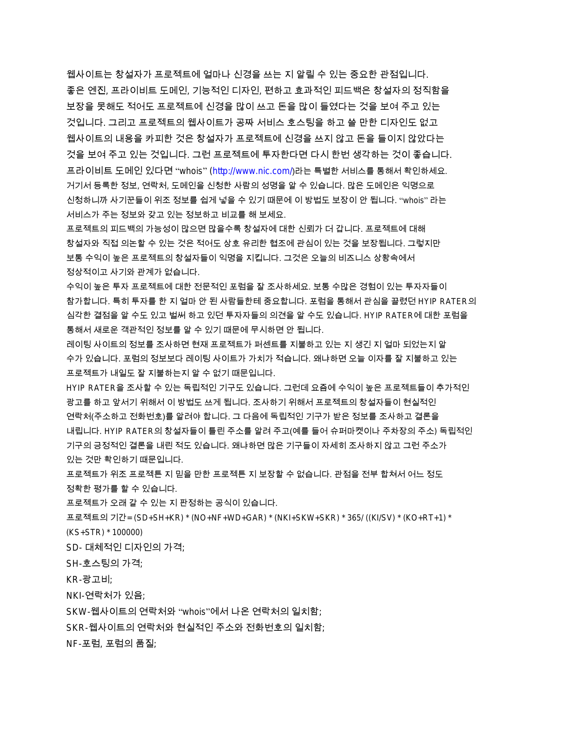웹사이트는 창설자가 프로젝트에 얼마나 신경을 쓰는 지 알릴 수 있는 중요한 관점입니다. 좋은 엔진, 프라이비트 도메인, 기능적인 디자인, 편하고 효과적인 피드백은 창설자의 정직함을 보장을 못해도 적어도 프로젝트에 신경을 많이 쓰고 돈을 많이 들였다는 것을 보여 주고 있는 것입니다. 그리고 프로젝트의 웹사이트가 공짜 서비스 호스팅을 하고 쓸 만한 디자인도 없고 웹사이트의 내용을 카피한 것은 창설자가 프로젝트에 신경을 쓰지 않고 돈을 들이지 않았다는 것을 보여 주고 있는 것입니다. 그런 프로젝트에 투자한다면 다시 한번 생각하는 것이 좋습니다. 프라이비트 도메인 있다면 "whois" [\(http://www.nic.com/](http://www.nic.com/))라는 특별한 서비스를 통해서 확인하세요. 거기서 등록한 정보, 연락처, 도메인을 신청한 사람의 성명을 알 수 있습니다. 많은 도메인은 익명으로 신청하니까 사기꾼들이 위조 정보를 쉽게 넣을 수 있기 때문에 이 방법도 보장이 안 됩니다. "whois" 라는 서비스가 주는 정보와 갖고 있는 정보하고 비교를 해 보세요.

프로젝트의 피드백의 가능성이 많으면 많을수록 창설자에 대한 신뢰가 더 갑니다. 프로젝트에 대해 창설자와 직접 의논할 수 있는 것은 적어도 상호 유리한 협조에 관심이 있는 것을 보장됩니다. 그렇지만 보통 수익이 높은 프로젝트의 창설자들이 익명을 지킵니다. 그것은 오늘의 비즈니스 상황속에서 정상적이고 사기와 관계가 없습니다.

수익이 높은 투자 프로젝트에 대한 전문적인 포럼을 잘 조사하세요. 보통 수많은 경험이 있는 투자자들이 참가합니다. 특히 투자를 한 지 얼마 안 된 사람들한테 중요합니다. 포럼을 통해서 관심을 끌렸던 HYIP RATER의 심각한 결점을 알 수도 있고 벌써 하고 있던 투자자들의 의견을 알 수도 있습니다. HYIP RATER에 대한 포럼을 통해서 새로운 객관적인 정보를 알 수 있기 때문에 무시하면 안 됩니다.

레이팅 사이트의 정보를 조사하면 현재 프로젝트가 퍼센트를 지불하고 있는 지 생긴 지 얼마 되었는지 알 수가 있습니다. 포럼의 정보보다 레이팅 사이트가 가치가 적습니다. 왜냐하면 오늘 이자를 잘 지불하고 있는 프로젝트가 내일도 잘 지불하는지 알 수 없기 때문입니다.

HYIP RATER을 조사할 수 있는 독립적인 기구도 있습니다. 그런데 요즘에 수익이 높은 프로젝트들이 추가적인 광고를 하고 앞서기 위해서 이 방법도 쓰게 됩니다. 조사하기 위해서 프로젝트의 창설자들이 현실적인 연락처(주소하고 전화번호)를 알려야 합니다. 그 다음에 독립적인 기구가 받은 정보를 조사하고 결론을 내립니다. HYIP RATER의 창설자들이 틀린 주소를 알려 주고(예를 들어 슈퍼마켓이나 주차장의 주소) 독립적인 기구의 긍정적인 결론을 내린 적도 있습니다. 왜냐하면 많은 기구들이 자세히 조사하지 않고 그런 주소가 있는 것만 확인하기 때문입니다.

프로젝트가 위조 프로젝튼 지 보로젝트 지 보장할 수 없습니다. 관점을 전부 합쳐서 어느 정도 정확한 평가를 할 수 있습니다.

프로젝트가 오래 갈 수 있는 지 판정하는 공식이 있습니다.

프로젝트의 기간= (SD+SH+KR) \* (NO+NF+WD+GAR) \* (NKI+SKW+SKR) \* 365/ ((KI/SV) \* (KO+RT+1) \*

(KS+STR) \* 100000)

SD- 대체적인 디자인의 가격;

SH-호스팅의 가격:

 $KR-$ 광고비;

NKI-연락처가 있음;

SKW-웹사이트의 연락처와 ''whois''에서 나온 연락처의 일치함;

SKR-웹사이트의 연락처와 현실적인 주소와 전화번호의 일치함;

NF-포럼, 포럼의 품질;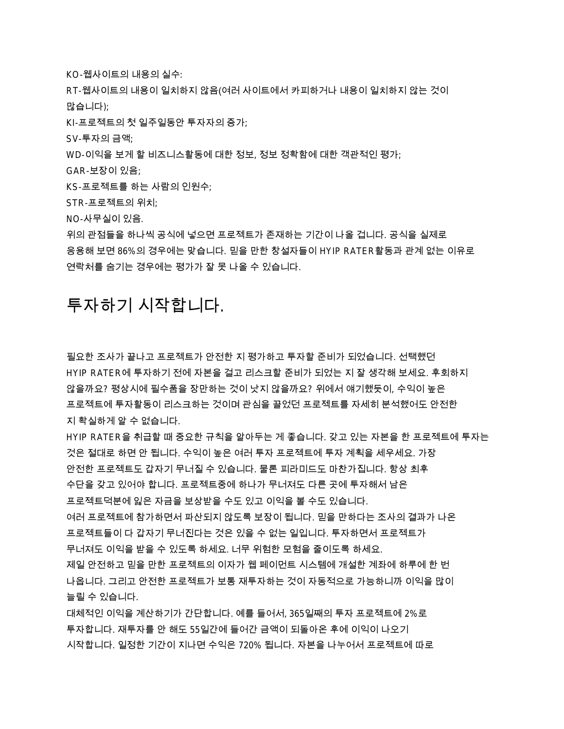KO-웹사이트의 내용의 실수:

RT-웹사이트의 내용이 일치하지 않음(여러 사이트에서 카피하거나 내용이 일치하지 않는 것이 많습니다);

 $K$ I-프로젝트의 첫 일주일동안 투자자의 증가;

SV-투자의 금액;

WD-이익을 보게 할 비즈니스활동에 대한 정보, 정보 정확함에 대한 객관적인 평가;

GAR-보장이 있음;

KS-프로젝트를 하는 사람의 인원수;

 $STR$ -프로젝트의 위치:

NO-사무실이 있음.

위의 관점들을 하나씩 공식에 넣으면 프로젝트가 존재하는 기간이 나올 겁니다. 공식을 실제로 응용해 보면 86%의 경우에는 맞습니다. 믿을 만한 창설자들이 HYIP RATER활동과 관계 없는 이유로 연락처를 숨기는 경우에는 평가가 잘 못 나올 수 있습니다.

## 투자하기 시작합니다.

필요한 조사가 끝나고 프로젝트가 안전한 지 평가하고 투자할 준비가 되었습니다. 선택했던 HYIP RATER에 투자하기 전에 자본을 걸고 리스크할 준비가 되었는 지 잘 생각해 보세요. 후회하지 않을까요? 평상시에 필수품을 장만하는 것이 낫지 않을까요? 위에서 얘기했듯이, 수익이 높은 프로젝트에 투자활동이 리스크하는 것이며 관심을 끌었던 프로젝트를 자세히 분석했어도 안전한 지 확실하게 알 수 없습니다.

HYIP RATER을 취급할 때 중요한 규칙을 알아두는 게 좋습니다. 갖고 있는 자본을 한 프로젝트에 투자는 것은 절대로 하면 안 됩니다. 수익이 높은 여러 투자 프로젝트에 투자 계획을 세우세요. 가장 안전한 프로젝트도 갑자기 무너질 수 있습니다. 물론 피라미드도 마찬가집니다. 항상 최후 수단을 갖고 있어야 합니다. 프로젝트중에 하나가 무너져도 다른 곳에 투자해서 남은 프로젝트덕분에 잃은 자금을 보상받을 수도 있고 이익을 볼 수도 있습니다. 여러 프로젝트에 참가하면서 파산되지 않도록 보장이 됩니다. 믿을 만하다는 조사의 결과가 나온 프로젝트들이 다 갑자기 무너진다는 것은 있을 수 없는 일입니다. 투자하면서 프로젝트가 무너져도 이익을 받을 수 있도록 하세요. 너무 위험한 모험을 줄이도록 하세요. 제일 안전하고 믿을 만한 프로젝트의 이자가 웹 페이먼트 시스템에 개설한 계좌에 하루에 한 번 나옵니다. 그리고 안전한 프로젝트가 보통 재투자하는 것이 자동적으로 가능하니까 이익을 많이 늘릴 수 있습니다.

대체적인 이익을 계산하기가 간단합니다. 예를 들어서, 365일째의 투자 프로젝트에 2%로 투자합니다. 재투자를 안 해도 55일간에 들어간 금액이 되돌아온 후에 이익이 나오기 시작합니다. 일정한 기간이 지나면 수익은 720% 됩니다. 자본을 나누어서 프로젝트에 따로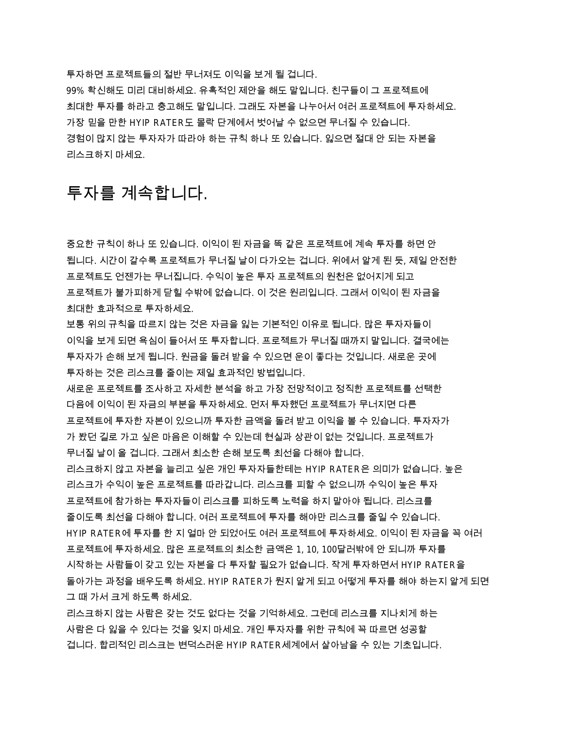투자하면 프로젝트들의 절반 무너져도 이익을 보게 될 겁니다. 99% 확신해도 미리 대비하세요. 유혹적인 제안을 해도 말입니다. 친구들이 그 프로젝트에 최대한 투자를 하라고 충고해도 말입니다. 그래도 자본을 나누어서 여러 프로젝트에 투자하세요. 가장 믿을 만한 HYIP RATER도 몰락 단계에서 벗어날 수 없으면 무너질 수 있습니다. 경험이 많지 않는 투자자가 따라야 하는 규칙 하나 또 있습니다. 잃으면 절대 안 되는 자본을 리스크하지 마세요.

## 투자를 계속합니다.

중요한 규칙이 하나 또 있습니다. 이익이 된 자금을 똑 같은 프로젝트에 계속 투자를 하면 안 됩니다. 시간이 갈수록 프로젝트가 무너질 날이 다가오는 겁니다. 위에서 알게 된 듯. 제일 안전한 프로젝트도 언젠가는 무너집니다. 수익이 높은 투자 프로젝트의 원천은 없어지게 되고 프로젝트가 불가피하게 닫힐 수밖에 없습니다. 이 것은 원리입니다. 그래서 이익이 된 자금을 최대한 효과적으로 투자하세요.

보통 위의 규칙을 따르지 않는 것은 자금을 잃는 기본적인 이유로 됩니다. 많은 투자자들이 이익을 보게 되면 욕심이 들어서 또 투자합니다. 프로젝트가 무너질 때까지 말입니다. 결국에는 투자자가 손해 보게 됩니다. 원금을 돌려 받을 수 있으면 운이 좋다는 것입니다. 새로운 곳에 투자하는 것은 리스크를 줄이는 제일 효과적인 방법입니다.

새로운 프로젝트를 조사하고 자세한 분석을 하고 가장 전망적이고 정직한 프로젝트를 선택한 다음에 이익이 된 자금의 부분을 투자하세요. 먼저 투자했던 프로젝트가 무너지면 다른 프로젝트에 투자한 자본이 있으니까 투자한 금액을 돌려 받고 이익을 볼 수 있습니다. 투자자가 가 봤던 길로 가고 싶은 마음은 이해할 수 있는데 현실과 상관이 없는 것입니다. 프로젝트가 무너질 날이 올 겁니다. 그래서 최소한 손해 보도록 최선을 다해야 합니다.

리스크하지 않고 자본을 늘리고 싶은 개인 투자자들한테는 HYIP RATER은 의미가 없습니다. 높은 리스크가 수익이 높은 프로젝트를 따라갑니다. 리스크를 피할 수 없으니까 수익이 높은 투자 프로젝트에 참가하는 투자자들이 리스크를 피하도록 노력을 하지 말아야 됩니다. 리스크를 줄이도록 최선을 다해야 합니다. 여러 프로젝트에 투자를 해야만 리스크를 줄일 수 있습니다. HYIP RATER에 투자를 한 지 얼마 안 되었어도 여러 프로젝트에 투자하세요. 이익이 된 자금을 꼭 여러 프로젝트에 투자하세요. 많은 프로젝트의 최소한 금액은 1, 10, 100달러밖에 안 되니까 투자를 시작하는 사람들이 갖고 있는 자본을 다 투자할 필요가 없습니다. 작게 투자하면서 HYIP RATER을 돌아가는 과정을 배우도록 하세요. HYIP RATER가 뭔지 알게 되고 어떻게 투자를 해야 하는지 알게 되면 그 때 가서 크게 하도록 하세요.

리스크하지 않는 사람은 갖는 것도 없다는 것을 기억하세요. 그런데 리스크를 지나치게 하는 사람은 다 잃을 수 있다는 것을 잊지 마세요. 개인 투자자를 위한 규칙에 꼭 따르면 성공할 겁니다. 합리적인 리스크는 변덕스러운 HYIP RATER세계에서 살아남을 수 있는 기초입니다.